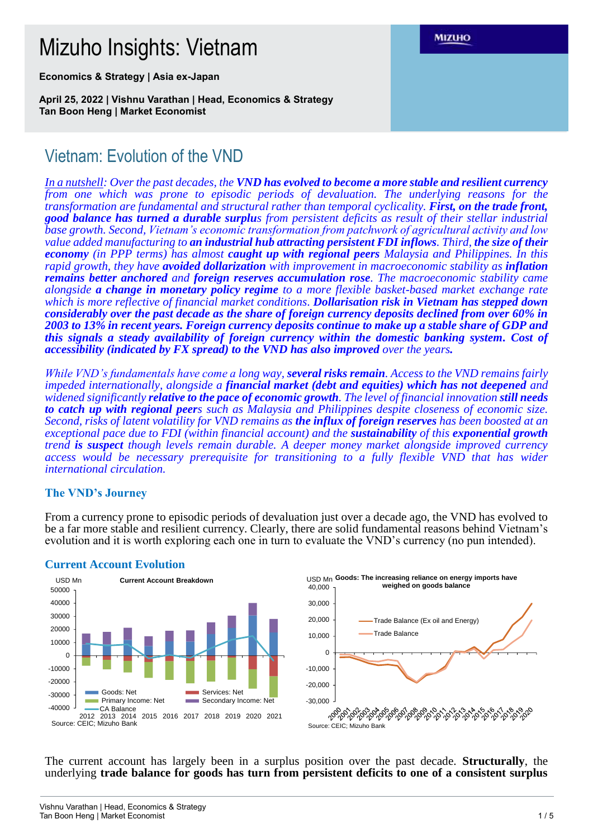# Mizuho Insights: Vietnam

**Economics & Strategy | Asia ex-Japan**

**April 25, 2022 | Vishnu Varathan | Head, Economics & Strategy Tan Boon Heng | Market Economist**

# Vietnam: Evolution of the VND

*In a nutshell: Over the past decades, the VND has evolved to become a more stable and resilient currency from one which was prone to episodic periods of devaluation. The underlying reasons for the transformation are fundamental and structural rather than temporal cyclicality. First, on the trade front, good balance has turned a durable surplus from persistent deficits as result of their stellar industrial base growth. Second, Vietnam's economic transformation from patchwork of agricultural activity and low value added manufacturing to an industrial hub attracting persistent FDI inflows. Third, the size of their economy (in PPP terms) has almost caught up with regional peers Malaysia and Philippines. In this rapid growth, they have avoided dollarization with improvement in macroeconomic stability as inflation remains better anchored and foreign reserves accumulation rose. The macroeconomic stability came alongside a change in monetary policy regime to a more flexible basket-based market exchange rate which is more reflective of financial market conditions. Dollarisation risk in Vietnam has stepped down considerably over the past decade as the share of foreign currency deposits declined from over 60% in 2003 to 13% in recent years. Foreign currency deposits continue to make up a stable share of GDP and this signals a steady availability of foreign currency within the domestic banking system. Cost of accessibility (indicated by FX spread) to the VND has also improved over the years.* 

*While VND's fundamentals have come a long way, several risks remain. Access to the VND remains fairly impeded internationally, alongside a financial market (debt and equities) which has not deepened and widened significantly relative to the pace of economic growth. The level of financial innovation still needs to catch up with regional peers such as Malaysia and Philippines despite closeness of economic size. Second, risks of latent volatility for VND remains as the influx of foreign reserves has been boosted at an exceptional pace due to FDI (within financial account) and the sustainability of this exponential growth trend is suspect though levels remain durable. A deeper money market alongside improved currency access would be necessary prerequisite for transitioning to a fully flexible VND that has wider international circulation.*

### **The VND's Journey**

From a currency prone to episodic periods of devaluation just over a decade ago, the VND has evolved to be a far more stable and resilient currency. Clearly, there are solid fundamental reasons behind Vietnam's evolution and it is worth exploring each one in turn to evaluate the VND's currency (no pun intended).



#### **Current Account Evolution**



The current account has largely been in a surplus position over the past decade. **Structurally**, the underlying **trade balance for goods has turn from persistent deficits to one of a consistent surplus**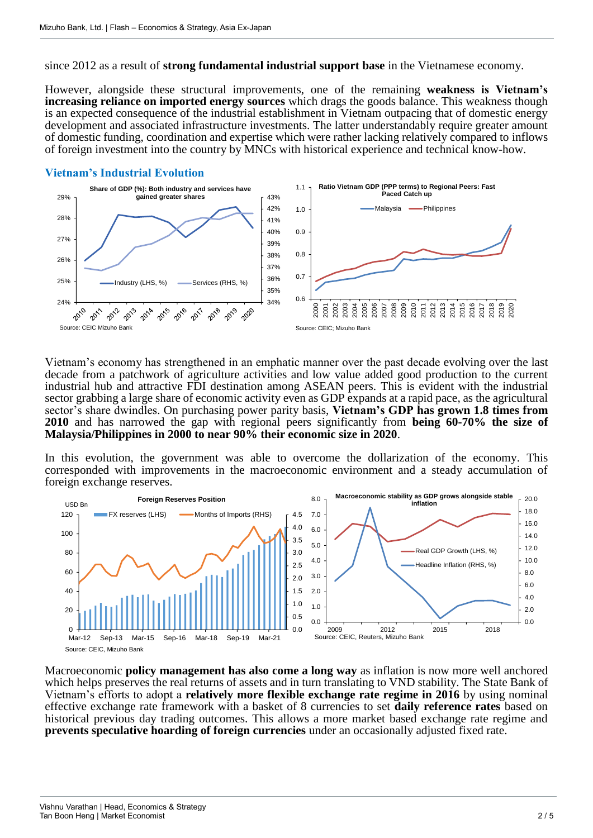since 2012 as a result of **strong fundamental industrial support base** in the Vietnamese economy.

However, alongside these structural improvements, one of the remaining **weakness is Vietnam's increasing reliance on imported energy sources** which drags the goods balance. This weakness though is an expected consequence of the industrial establishment in Vietnam outpacing that of domestic energy development and associated infrastructure investments. The latter understandably require greater amount of domestic funding, coordination and expertise which were rather lacking relatively compared to inflows of foreign investment into the country by MNCs with historical experience and technical know-how.

#### **Vietnam's Industrial Evolution**



Vietnam's economy has strengthened in an emphatic manner over the past decade evolving over the last decade from a patchwork of agriculture activities and low value added good production to the current industrial hub and attractive FDI destination among ASEAN peers. This is evident with the industrial sector grabbing a large share of economic activity even as GDP expands at a rapid pace, as the agricultural sector's share dwindles. On purchasing power parity basis, **Vietnam's GDP has grown 1.8 times from 2010** and has narrowed the gap with regional peers significantly from **being 60-70% the size of Malaysia/Philippines in 2000 to near 90% their economic size in 2020**.

In this evolution, the government was able to overcome the dollarization of the economy. This corresponded with improvements in the macroeconomic environment and a steady accumulation of foreign exchange reserves.



Macroeconomic **policy management has also come a long way** as inflation is now more well anchored which helps preserves the real returns of assets and in turn translating to VND stability. The State Bank of Vietnam's efforts to adopt a **relatively more flexible exchange rate regime in 2016** by using nominal effective exchange rate framework with a basket of 8 currencies to set **daily reference rates** based on historical previous day trading outcomes. This allows a more market based exchange rate regime and **prevents speculative hoarding of foreign currencies** under an occasionally adjusted fixed rate.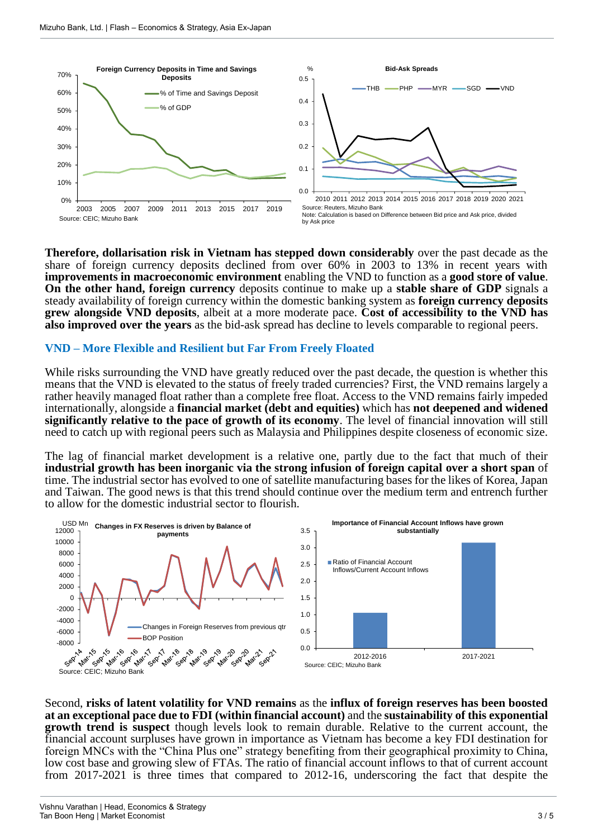





**Therefore, dollarisation risk in Vietnam has stepped down considerably** over the past decade as the share of foreign currency deposits declined from over 60% in 2003 to 13% in recent years with **improvements in macroeconomic environment** enabling the VND to function as a **good store of value**. **On the other hand, foreign currency** deposits continue to make up a **stable share of GDP** signals a steady availability of foreign currency within the domestic banking system as **foreign currency deposits grew alongside VND deposits**, albeit at a more moderate pace. **Cost of accessibility to the VND has also improved over the years** as the bid-ask spread has decline to levels comparable to regional peers.

## **VND – More Flexible and Resilient but Far From Freely Floated**

While risks surrounding the VND have greatly reduced over the past decade, the question is whether this means that the VND is elevated to the status of freely traded currencies? First, the VND remains largely a rather heavily managed float rather than a complete free float. Access to the VND remains fairly impeded internationally, alongside a **financial market (debt and equities)** which has **not deepened and widened significantly relative to the pace of growth of its economy**. The level of financial innovation will still need to catch up with regional peers such as Malaysia and Philippines despite closeness of economic size.

The lag of financial market development is a relative one, partly due to the fact that much of their **industrial growth has been inorganic via the strong infusion of foreign capital over a short span** of time. The industrial sector has evolved to one of satellite manufacturing bases for the likes of Korea, Japan and Taiwan. The good news is that this trend should continue over the medium term and entrench further to allow for the domestic industrial sector to flourish.



Second, **risks of latent volatility for VND remains** as the **influx of foreign reserves has been boosted at an exceptional pace due to FDI (within financial account)** and the **sustainability of this exponential growth trend is suspect** though levels look to remain durable. Relative to the current account, the financial account surpluses have grown in importance as Vietnam has become a key FDI destination for foreign MNCs with the "China Plus one" strategy benefiting from their geographical proximity to China, low cost base and growing slew of FTAs. The ratio of financial account inflows to that of current account from 2017-2021 is three times that compared to 2012-16, underscoring the fact that despite the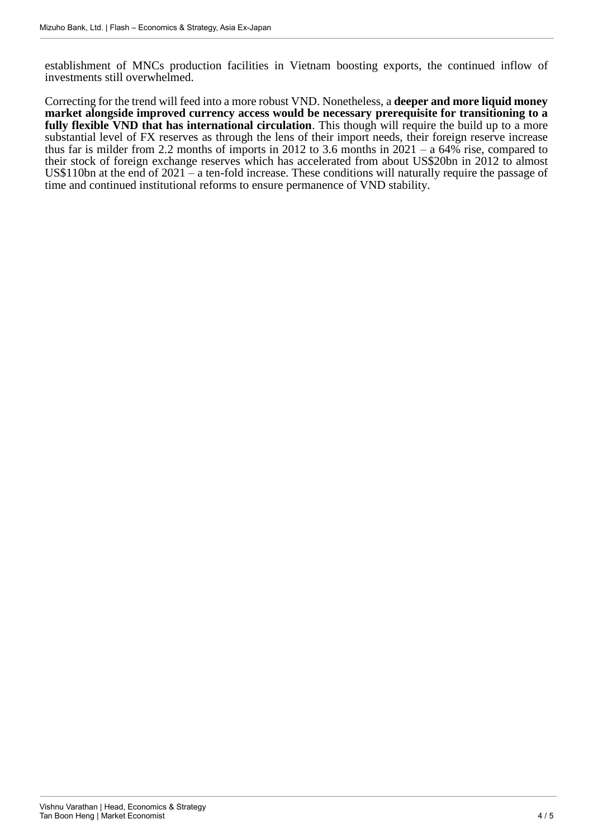establishment of MNCs production facilities in Vietnam boosting exports, the continued inflow of investments still overwhelmed.

Correcting for the trend will feed into a more robust VND. Nonetheless, a **deeper and more liquid money market alongside improved currency access would be necessary prerequisite for transitioning to a fully flexible VND that has international circulation**. This though will require the build up to a more substantial level of FX reserves as through the lens of their import needs, their foreign reserve increase thus far is milder from 2.2 months of imports in 2012 to 3.6 months in  $2021 - a\ 64\%$  rise, compared to their stock of foreign exchange reserves which has accelerated from about US\$20bn in 2012 to almost US\$110bn at the end of 2021 – a ten-fold increase. These conditions will naturally require the passage of time and continued institutional reforms to ensure permanence of VND stability.